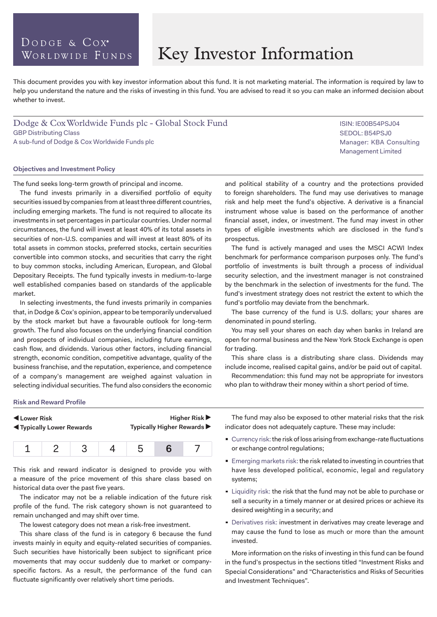### DODGE & COX<sup>®</sup> WORLDWIDE FUNDS

# Key Investor Information

This document provides you with key investor information about this fund. It is not marketing material. The information is required by law to help you understand the nature and the risks of investing in this fund. You are advised to read it so you can make an informed decision about whether to invest.

Dodge & Cox Worldwide Funds plc - Global Stock Fund GBP Distributing Class A sub-fund of Dodge & Cox Worldwide Funds plc

#### **Objectives and Investment Policy**

The fund seeks long-term growth of principal and income.

The fund invests primarily in a diversified portfolio of equity securities issued by companies from at least three different countries, including emerging markets. The fund is not required to allocate its investments in set percentages in particular countries. Under normal circumstances, the fund will invest at least 40% of its total assets in securities of non-U.S. companies and will invest at least 80% of its total assets in common stocks, preferred stocks, certain securities convertible into common stocks, and securities that carry the right to buy common stocks, including American, European, and Global Depositary Receipts. The fund typically invests in medium-to-large well established companies based on standards of the applicable market.

In selecting investments, the fund invests primarily in companies that, in Dodge & Cox's opinion, appear to be temporarily undervalued by the stock market but have a favourable outlook for long-term growth. The fund also focuses on the underlying financial condition and prospects of individual companies, including future earnings, cash flow, and dividends. Various other factors, including financial strength, economic condition, competitive advantage, quality of the business franchise, and the reputation, experience, and competence of a company's management are weighed against valuation in selecting individual securities. The fund also considers the economic and political stability of a country and the protections provided to foreign shareholders. The fund may use derivatives to manage risk and help meet the fund's objective. A derivative is a financial instrument whose value is based on the performance of another financial asset, index, or investment. The fund may invest in other types of eligible investments which are disclosed in the fund's prospectus.

The fund is actively managed and uses the MSCI ACWI Index benchmark for performance comparison purposes only. The fund's portfolio of investments is built through a process of individual security selection, and the investment manager is not constrained by the benchmark in the selection of investments for the fund. The fund's investment strategy does not restrict the extent to which the fund's portfolio may deviate from the benchmark.

The base currency of the fund is U.S. dollars; your shares are denominated in pound sterling.

You may sell your shares on each day when banks in Ireland are open for normal business and the New York Stock Exchange is open for trading.

This share class is a distributing share class. Dividends may include income, realised capital gains, and/or be paid out of capital.

Recommendation: this fund may not be appropriate for investors who plan to withdraw their money within a short period of time.

#### **Risk and Reward Profile**

| Lower Risk                         |  |  |  | <b>Higher Risk ▶</b>       |  |  |  |
|------------------------------------|--|--|--|----------------------------|--|--|--|
| <b>IVI</b> Typically Lower Rewards |  |  |  | Typically Higher Rewards ▶ |  |  |  |
|                                    |  |  |  |                            |  |  |  |

This risk and reward indicator is designed to provide you with a measure of the price movement of this share class based on historical data over the past five years.

The indicator may not be a reliable indication of the future risk profile of the fund. The risk category shown is not guaranteed to remain unchanged and may shift over time.

The lowest category does not mean a risk-free investment.

This share class of the fund is in category 6 because the fund invests mainly in equity and equity-related securities of companies. Such securities have historically been subject to significant price movements that may occur suddenly due to market or companyspecific factors. As a result, the performance of the fund can fluctuate significantly over relatively short time periods.

The fund may also be exposed to other material risks that the risk indicator does not adequately capture. These may include:

- Currency risk: the risk of loss arising from exchange-rate fluctuations or exchange control regulations;
- **Emerging markets risk: the risk related to investing in countries that** have less developed political, economic, legal and regulatory systems;
- **Example 1** Liquidity risk: the risk that the fund may not be able to purchase or sell a security in a timely manner or at desired prices or achieve its desired weighting in a security; and
- Derivatives risk: investment in derivatives may create leverage and may cause the fund to lose as much or more than the amount invested.

More information on the risks of investing in this fund can be found in the fund's prospectus in the sections titled "Investment Risks and Special Considerations" and "Characteristics and Risks of Securities and Investment Techniques".

ISIN: IE00B54PSJ04 SEDOL: B54PSJ0 Manager: KBA Consulting Management Limited